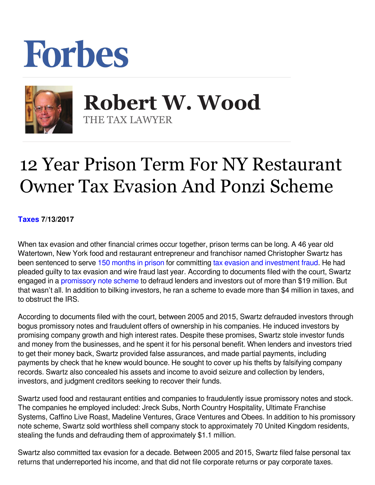## Forbes



 **Robert W. Wood** THE TAX LAWYER

## 12 Year Prison Term For NY Restaurant Owner Tax Evasion And Ponzi Scheme

**[Taxes](https://www.forbes.com/taxes) 7/13/2017** 

When tax evasion and other financial crimes occur together, prison terms can be long. A 46 year old Watertown, New York food and restaurant entrepreneur and franchisor named Christopher Swartz has been sentenced to serve [150 months in prison](https://www.justice.gov/opa/pr/new-york-restaurant-entrepreneur-sentenced-12-years-prison-investment-fraud-scheme-and-tax) for committing [tax evasion and investment fraud.](http://www.syracuse.com/crime/index.ssf/2017/07/jreck_subs_owners_12-year_swindling_reign_ends_with_long_prison_sentence.html) He had pleaded guilty to tax evasion and wire fraud last year. According to documents filed with the court, Swartz engaged in a [promissory note scheme](http://www.syracuse.com/crime/index.ssf/2017/05/jreck_subs_owner_facing_sentencing_for_swindling_accused_of_concealing_assets.html) to defraud lenders and investors out of more than \$19 million. But that wasn't all. In addition to bilking investors, he ran a scheme to evade more than \$4 million in taxes, and to obstruct the IRS.

According to documents filed with the court, between 2005 and 2015, Swartz defrauded investors through bogus promissory notes and fraudulent offers of ownership in his companies. He induced investors by promising company growth and high interest rates. Despite these promises, Swartz stole investor funds and money from the businesses, and he spent it for his personal benefit. When lenders and investors tried to get their money back, Swartz provided false assurances, and made partial payments, including payments by check that he knew would bounce. He sought to cover up his thefts by falsifying company records. Swartz also concealed his assets and income to avoid seizure and collection by lenders, investors, and judgment creditors seeking to recover their funds.

Swartz used food and restaurant entities and companies to fraudulently issue promissory notes and stock. The companies he employed included: Jreck Subs, North Country Hospitality, Ultimate Franchise Systems, Caffino Live Roast, Madeline Ventures, Grace Ventures and Obees. In addition to his promissory note scheme, Swartz sold worthless shell company stock to approximately 70 United Kingdom residents, stealing the funds and defrauding them of approximately \$1.1 million.

Swartz also committed tax evasion for a decade. Between 2005 and 2015, Swartz filed false personal tax returns that underreported his income, and that did not file corporate returns or pay corporate taxes.